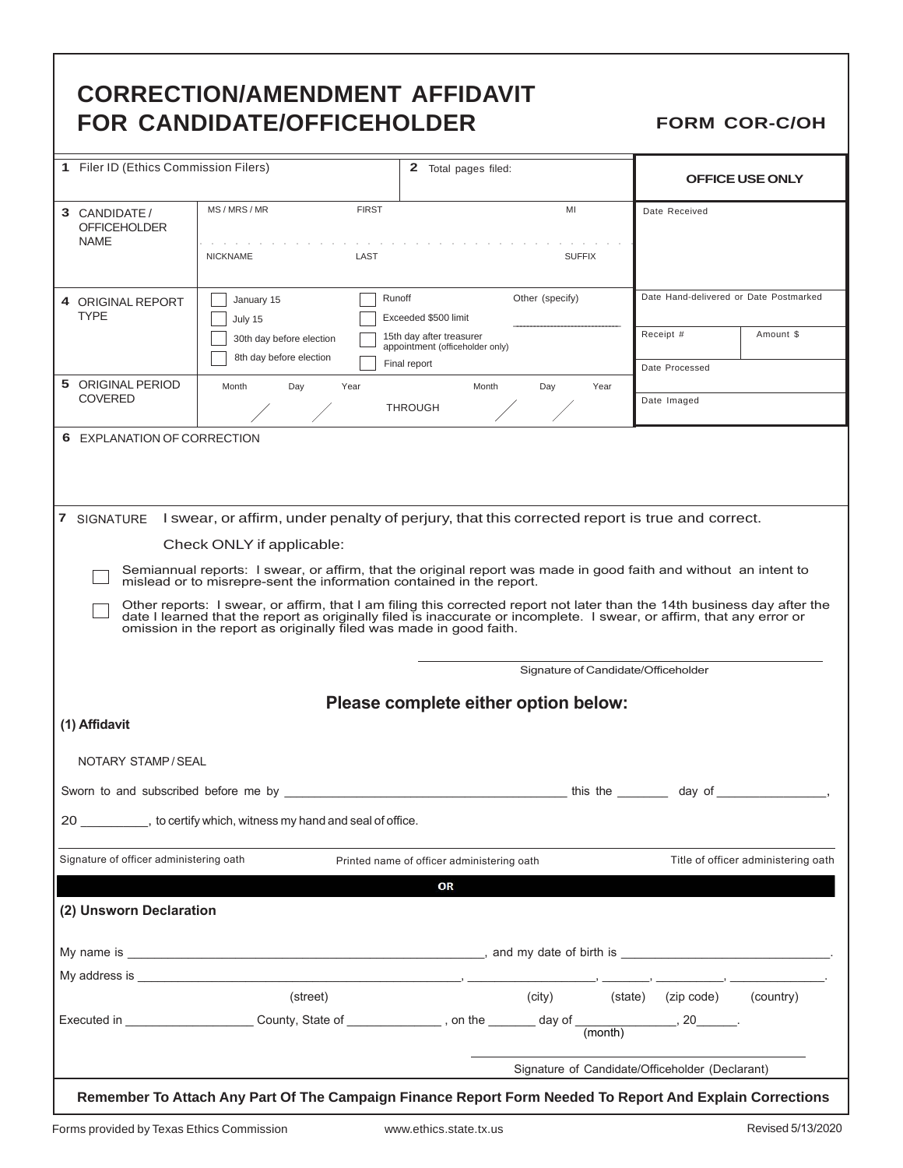## **CORRECTION/AMENDMENT AFFIDAVIT FOR CANDIDATE/OFFICEHOLDER** FORM COR-C/OH

| 1 Filer ID (Ethics Commission Filers)                                                                    |                                                                                                                                                                                                                                                                                                                         | <b>2</b> Total pages filed:                                                 |                                                                                                                          | <b>OFFICE USE ONLY</b>                          |  |
|----------------------------------------------------------------------------------------------------------|-------------------------------------------------------------------------------------------------------------------------------------------------------------------------------------------------------------------------------------------------------------------------------------------------------------------------|-----------------------------------------------------------------------------|--------------------------------------------------------------------------------------------------------------------------|-------------------------------------------------|--|
| 3 CANDIDATE /<br><b>OFFICEHOLDER</b><br><b>NAME</b>                                                      | MS/MRS/MR<br><b>FIRST</b><br>LAST<br><b>NICKNAME</b>                                                                                                                                                                                                                                                                    | Date Received<br><b>SUFFIX</b>                                              |                                                                                                                          |                                                 |  |
| 4 ORIGINAL REPORT<br><b>TYPE</b>                                                                         | Other (specify)<br>Runoff<br>January 15<br>Exceeded \$500 limit<br>July 15                                                                                                                                                                                                                                              |                                                                             |                                                                                                                          | Date Hand-delivered or Date Postmarked          |  |
|                                                                                                          | 30th day before election<br>8th day before election                                                                                                                                                                                                                                                                     | 15th day after treasurer<br>appointment (officeholder only)<br>Final report | Receipt #                                                                                                                | Amount \$                                       |  |
| 5 ORIGINAL PERIOD                                                                                        | Month<br>Year<br>Day                                                                                                                                                                                                                                                                                                    | Month<br>Day                                                                | Date Processed<br>Year                                                                                                   |                                                 |  |
| <b>COVERED</b>                                                                                           |                                                                                                                                                                                                                                                                                                                         | <b>THROUGH</b>                                                              | Date Imaged                                                                                                              |                                                 |  |
| 6 EXPLANATION OF CORRECTION                                                                              |                                                                                                                                                                                                                                                                                                                         |                                                                             |                                                                                                                          |                                                 |  |
|                                                                                                          | 7 SIGNATURE I swear, or affirm, under penalty of perjury, that this corrected report is true and correct.                                                                                                                                                                                                               |                                                                             |                                                                                                                          |                                                 |  |
|                                                                                                          | Check ONLY if applicable:                                                                                                                                                                                                                                                                                               |                                                                             |                                                                                                                          |                                                 |  |
|                                                                                                          | Semiannual reports: I swear, or affirm, that the original report was made in good faith and without an intent to<br>mislead or to misrepre-sent the information contained in the report.                                                                                                                                |                                                                             |                                                                                                                          |                                                 |  |
|                                                                                                          | Other reports: I swear, or affirm, that I am filing this corrected report not later than the 14th business day after the<br>date I learned that the report as originally filed is inaccurate or incomplete. I swear, or affirm, that any error or<br>omission in the report as originally filed was made in good faith. |                                                                             |                                                                                                                          |                                                 |  |
|                                                                                                          |                                                                                                                                                                                                                                                                                                                         |                                                                             | Signature of Candidate/Officeholder                                                                                      |                                                 |  |
|                                                                                                          |                                                                                                                                                                                                                                                                                                                         | Please complete either option below:                                        |                                                                                                                          |                                                 |  |
| (1) Affidavit                                                                                            |                                                                                                                                                                                                                                                                                                                         |                                                                             |                                                                                                                          |                                                 |  |
| NOTARY STAMP/SEAL                                                                                        |                                                                                                                                                                                                                                                                                                                         |                                                                             |                                                                                                                          |                                                 |  |
| Sworn to and subscribed before me by                                                                     |                                                                                                                                                                                                                                                                                                                         |                                                                             | this the thing the thing the state of the thing of the thing of the thing of the thing of the thing of the thi<br>day of |                                                 |  |
|                                                                                                          | 20 ____________, to certify which, witness my hand and seal of office.                                                                                                                                                                                                                                                  |                                                                             |                                                                                                                          |                                                 |  |
| Signature of officer administering oath                                                                  |                                                                                                                                                                                                                                                                                                                         | Printed name of officer administering oath                                  |                                                                                                                          | Title of officer administering oath             |  |
|                                                                                                          |                                                                                                                                                                                                                                                                                                                         | OR                                                                          |                                                                                                                          |                                                 |  |
| (2) Unsworn Declaration                                                                                  |                                                                                                                                                                                                                                                                                                                         |                                                                             |                                                                                                                          |                                                 |  |
|                                                                                                          |                                                                                                                                                                                                                                                                                                                         |                                                                             |                                                                                                                          |                                                 |  |
|                                                                                                          |                                                                                                                                                                                                                                                                                                                         |                                                                             |                                                                                                                          |                                                 |  |
|                                                                                                          | (street)                                                                                                                                                                                                                                                                                                                | (city)                                                                      | (state) (zip code)                                                                                                       | (country)                                       |  |
|                                                                                                          | Executed in ____________________County, State of ______________, on the ________ day of ______________, 20______.                                                                                                                                                                                                       |                                                                             | (month)                                                                                                                  |                                                 |  |
|                                                                                                          |                                                                                                                                                                                                                                                                                                                         |                                                                             |                                                                                                                          | Signature of Candidate/Officeholder (Declarant) |  |
| Remember To Attach Any Part Of The Campaign Finance Report Form Needed To Report And Explain Corrections |                                                                                                                                                                                                                                                                                                                         |                                                                             |                                                                                                                          |                                                 |  |